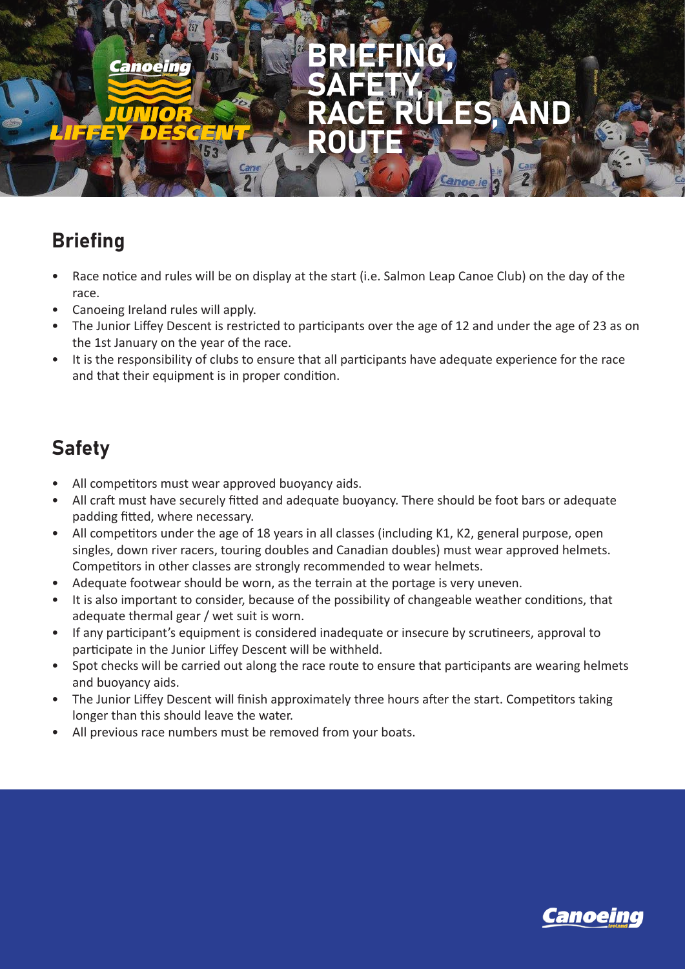

# **Briefing**

- Race notice and rules will be on display at the start (i.e. Salmon Leap Canoe Club) on the day of the race.
- Canoeing Ireland rules will apply.
- The Junior Liffey Descent is restricted to participants over the age of 12 and under the age of 23 as on the 1st January on the year of the race.
- It is the responsibility of clubs to ensure that all participants have adequate experience for the race and that their equipment is in proper condition.

## Safety

- All competitors must wear approved buoyancy aids.
- All craft must have securely fitted and adequate buoyancy. There should be foot bars or adequate padding fitted, where necessary.
- All competitors under the age of 18 years in all classes (including K1, K2, general purpose, open singles, down river racers, touring doubles and Canadian doubles) must wear approved helmets. Competitors in other classes are strongly recommended to wear helmets.
- Adequate footwear should be worn, as the terrain at the portage is very uneven.
- It is also important to consider, because of the possibility of changeable weather conditions, that adequate thermal gear / wet suit is worn.
- If any participant's equipment is considered inadequate or insecure by scrutineers, approval to participate in the Junior Liffey Descent will be withheld.
- Spot checks will be carried out along the race route to ensure that participants are wearing helmets and buoyancy aids.
- The Junior Liffey Descent will finish approximately three hours after the start. Competitors taking longer than this should leave the water.
- All previous race numbers must be removed from your boats.

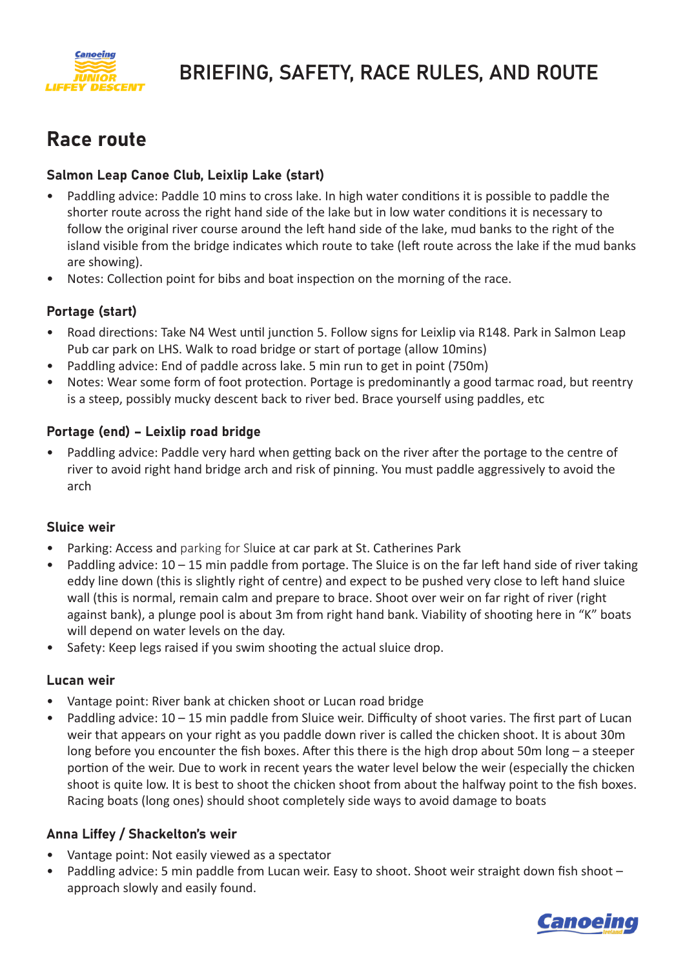

# BRIEFING, SAFETY, RACE RULES, AND ROUTE

### Race route

### Salmon Leap Canoe Club, Leixlip Lake (start)

- Paddling advice: Paddle 10 mins to cross lake. In high water conditions it is possible to paddle the shorter route across the right hand side of the lake but in low water conditions it is necessary to follow the original river course around the left hand side of the lake, mud banks to the right of the island visible from the bridge indicates which route to take (left route across the lake if the mud banks are showing).
- Notes: Collection point for bibs and boat inspection on the morning of the race.

### Portage (start)

- Road directions: Take N4 West until junction 5. Follow signs for Leixlip via R148. Park in Salmon Leap Pub car park on LHS. Walk to road bridge or start of portage (allow 10mins)
- Paddling advice: End of paddle across lake. 5 min run to get in point (750m)
- Notes: Wear some form of foot protection. Portage is predominantly a good tarmac road, but reentry is a steep, possibly mucky descent back to river bed. Brace yourself using paddles, etc

### Portage (end) – Leixlip road bridge

• Paddling advice: Paddle very hard when getting back on the river after the portage to the centre of river to avoid right hand bridge arch and risk of pinning. You must paddle aggressively to avoid the arch

#### Sluice weir

- Parking: Access and parking for Sluice at car park at St. Catherines Park
- Paddling advice: 10 15 min paddle from portage. The Sluice is on the far left hand side of river taking eddy line down (this is slightly right of centre) and expect to be pushed very close to left hand sluice wall (this is normal, remain calm and prepare to brace. Shoot over weir on far right of river (right against bank), a plunge pool is about 3m from right hand bank. Viability of shooting here in "K" boats will depend on water levels on the day.
- Safety: Keep legs raised if you swim shooting the actual sluice drop.

#### Lucan weir

- Vantage point: River bank at chicken shoot or Lucan road bridge
- Paddling advice:  $10 15$  min paddle from Sluice weir. Difficulty of shoot varies. The first part of Lucan weir that appears on your right as you paddle down river is called the chicken shoot. It is about 30m long before you encounter the fish boxes. After this there is the high drop about 50m long – a steeper portion of the weir. Due to work in recent years the water level below the weir (especially the chicken shoot is quite low. It is best to shoot the chicken shoot from about the halfway point to the fish boxes. Racing boats (long ones) should shoot completely side ways to avoid damage to boats

#### Anna Liffey / Shackelton's weir

- Vantage point: Not easily viewed as a spectator
- Paddling advice: 5 min paddle from Lucan weir. Easy to shoot. Shoot weir straight down fish shoot approach slowly and easily found.